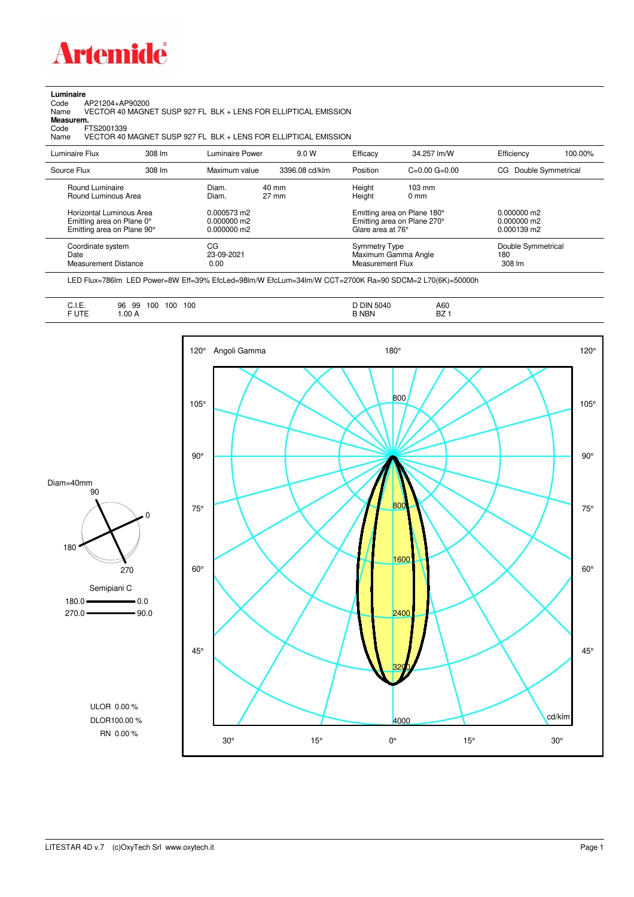

**Luminaire**<br>Code /<br>Name Code AP21204+AP90200 Name VECTOR 40 MAGNET SUSP 927 FL BLK + LENS FOR ELLIPTICAL EMISSION **Measurem.**

Code FTS2001339<br>Name VECTOR 40 VECTOR 40 MAGNET SUSP 927 FL BLK + LENS FOR ELLIPTICAL EMISSION

| Luminaire Flux                                                                                                                | 308 lm | Luminaire Power                                                 | 9.0 W                    | Efficacy                                 | 34.257 lm/W                                                                                      | Efficiency                                             | 100.00% |
|-------------------------------------------------------------------------------------------------------------------------------|--------|-----------------------------------------------------------------|--------------------------|------------------------------------------|--------------------------------------------------------------------------------------------------|--------------------------------------------------------|---------|
| Source Flux                                                                                                                   | 308 lm | Maximum value                                                   | 3396.08 cd/klm           | Position                                 | $C=0.00$ $G=0.00$                                                                                | Double Symmetrical<br>CG                               |         |
| Round Luminaire<br>Round Luminous Area<br>Horizontal Luminous Area<br>Emitting area on Plane 0°<br>Emitting area on Plane 90° |        | Diam.<br>Diam.<br>0.000573 m2<br>$0.000000$ m2<br>$0.000000$ m2 | 40 mm<br>$27 \text{ mm}$ | Height<br>Height<br>Glare area at 76°    | $103 \text{ mm}$<br>$0 \text{ mm}$<br>Emitting area on Plane 180°<br>Emitting area on Plane 270° | $0.000000$ m2<br>$0.000000$ m2<br>$0.000139 \text{ m}$ |         |
| Coordinate system<br>Date<br><b>Measurement Distance</b>                                                                      |        | CG<br>23-09-2021<br>0.00                                        |                          | <b>Symmetry Type</b><br>Measurement Flux | Maximum Gamma Angle                                                                              | Double Symmetrical<br>180<br>308 lm                    |         |

LED Flux=786lm LED Power=8W Eff=39% EfcLed=98lm/W EfcLum=34lm/W CCT=2700K Ra=90 SDCM=2 L70(6K)=50000h

| $\overline{\phantom{a}}$<br>100<br>100<br>100<br>99<br>96<br>◡…<br><b>FUTE</b><br>.00A<br>______ | <b>DIN 5040</b><br><b>B NBN</b> | A60<br><b>BZ</b> |
|--------------------------------------------------------------------------------------------------|---------------------------------|------------------|
|--------------------------------------------------------------------------------------------------|---------------------------------|------------------|